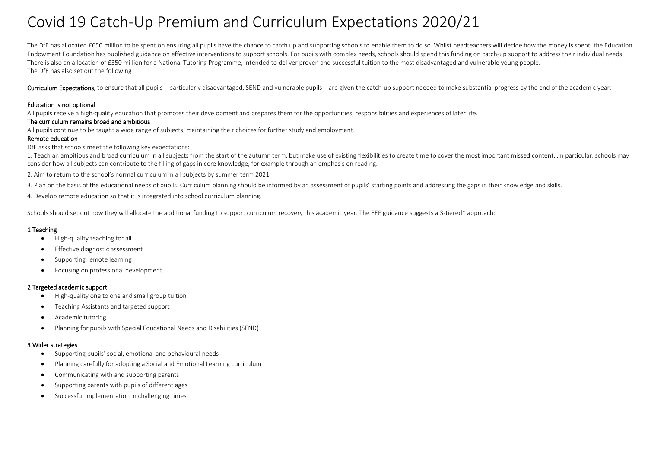# Covid 19 Catch-Up Premium and Curriculum Expectations 2020/21

The DfE has allocated £650 million to be spent on ensuring all pupils have the chance to catch up and supporting schools to enable them to do so. Whilst headteachers will decide how the money is spent, the Education Endowment Foundation has published guidance on effective interventions to support schools. For pupils with complex needs, schools should spend this funding on catch-up support to address their individual needs. There is also an allocation of £350 million for a National Tutoring Programme, intended to deliver proven and successful tuition to the most disadvantaged and vulnerable young people. The DfE has also set out the following

Curriculum Expectations, to ensure that all pupils – particularly disadvantaged. SEND and vulnerable pupils – are given the catch-up support needed to make substantial progress by the end of the academic year.

# Education is not optional

All pupils receive a high-quality education that promotes their development and prepares them for the opportunities, responsibilities and experiences of later life.

## The curriculum remains broad and ambitious

All pupils continue to be taught a wide range of subjects, maintaining their choices for further study and employment.

# Remote education

DfE asks that schools meet the following key expectations:

1. Teach an ambitious and broad curriculum in all subjects from the start of the autumn term, but make use of existing flexibilities to create time to cover the most important missed content…In particular, schools may consider how all subjects can contribute to the filling of gaps in core knowledge, for example through an emphasis on reading.

2. Aim to return to the school's normal curriculum in all subjects by summer term 2021.

3. Plan on the basis of the educational needs of pupils. Curriculum planning should be informed by an assessment of pupils' starting points and addressing the gaps in their knowledge and skills.

4. Develop remote education so that it is integrated into school curriculum planning.

Schools should set out how they will allocate the additional funding to support curriculum recovery this academic year. The EEF guidance suggests a 3-tiered\* approach:

# 1 Teaching

- High-quality teaching for all
- Effective diagnostic assessment
- Supporting remote learning
- Focusing on professional development

### 2 Targeted academic support

- High-quality one to one and small group tuition
- Teaching Assistants and targeted support
- Academic tutoring
- Planning for pupils with Special Educational Needs and Disabilities (SEND)

### 3 Wider strategies

- Supporting pupils' social, emotional and behavioural needs
- Planning carefully for adopting a Social and Emotional Learning curriculum
- Communicating with and supporting parents
- Supporting parents with pupils of different ages
- Successful implementation in challenging times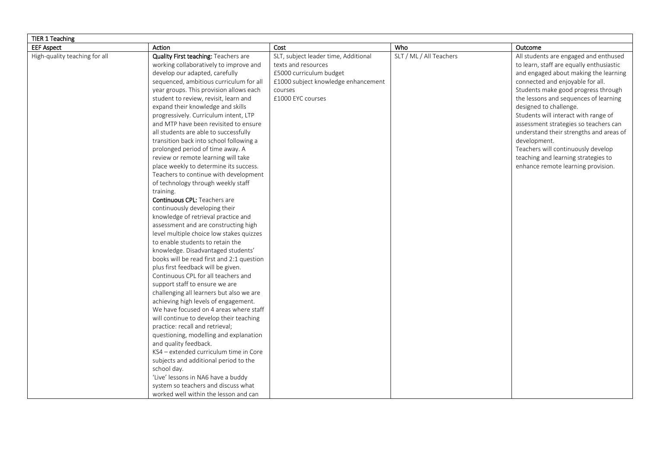| TIER 1 Teaching               |                                           |                                      |                         |                                          |
|-------------------------------|-------------------------------------------|--------------------------------------|-------------------------|------------------------------------------|
| <b>EEF Aspect</b>             | Action                                    | Cost                                 | Who                     | Outcome                                  |
| High-quality teaching for all | Quality First teaching: Teachers are      | SLT, subject leader time, Additional | SLT / ML / All Teachers | All students are engaged and enthused    |
|                               | working collaboratively to improve and    | texts and resources                  |                         | to learn, staff are equally enthusiastic |
|                               | develop our adapted, carefully            | £5000 curriculum budget              |                         | and engaged about making the learning    |
|                               | sequenced, ambitious curriculum for all   | £1000 subject knowledge enhancement  |                         | connected and enjoyable for all.         |
|                               | year groups. This provision allows each   | courses                              |                         | Students make good progress through      |
|                               | student to review, revisit, learn and     | £1000 EYC courses                    |                         | the lessons and sequences of learning    |
|                               | expand their knowledge and skills         |                                      |                         | designed to challenge.                   |
|                               | progressively. Curriculum intent, LTP     |                                      |                         | Students will interact with range of     |
|                               | and MTP have been revisited to ensure     |                                      |                         | assessment strategies so teachers can    |
|                               | all students are able to successfully     |                                      |                         | understand their strengths and areas of  |
|                               | transition back into school following a   |                                      |                         | development.                             |
|                               | prolonged period of time away. A          |                                      |                         | Teachers will continuously develop       |
|                               | review or remote learning will take       |                                      |                         | teaching and learning strategies to      |
|                               | place weekly to determine its success.    |                                      |                         | enhance remote learning provision.       |
|                               | Teachers to continue with development     |                                      |                         |                                          |
|                               | of technology through weekly staff        |                                      |                         |                                          |
|                               | training.                                 |                                      |                         |                                          |
|                               | <b>Continuous CPL: Teachers are</b>       |                                      |                         |                                          |
|                               | continuously developing their             |                                      |                         |                                          |
|                               | knowledge of retrieval practice and       |                                      |                         |                                          |
|                               | assessment and are constructing high      |                                      |                         |                                          |
|                               | level multiple choice low stakes quizzes  |                                      |                         |                                          |
|                               | to enable students to retain the          |                                      |                         |                                          |
|                               | knowledge. Disadvantaged students'        |                                      |                         |                                          |
|                               | books will be read first and 2:1 question |                                      |                         |                                          |
|                               | plus first feedback will be given.        |                                      |                         |                                          |
|                               | Continuous CPL for all teachers and       |                                      |                         |                                          |
|                               | support staff to ensure we are            |                                      |                         |                                          |
|                               | challenging all learners but also we are  |                                      |                         |                                          |
|                               | achieving high levels of engagement.      |                                      |                         |                                          |
|                               | We have focused on 4 areas where staff    |                                      |                         |                                          |
|                               | will continue to develop their teaching   |                                      |                         |                                          |
|                               | practice: recall and retrieval;           |                                      |                         |                                          |
|                               | questioning, modelling and explanation    |                                      |                         |                                          |
|                               | and quality feedback.                     |                                      |                         |                                          |
|                               | KS4 - extended curriculum time in Core    |                                      |                         |                                          |
|                               | subjects and additional period to the     |                                      |                         |                                          |
|                               | school day.                               |                                      |                         |                                          |
|                               | 'Live' lessons in NA6 have a buddy        |                                      |                         |                                          |
|                               | system so teachers and discuss what       |                                      |                         |                                          |
|                               | worked well within the lesson and can     |                                      |                         |                                          |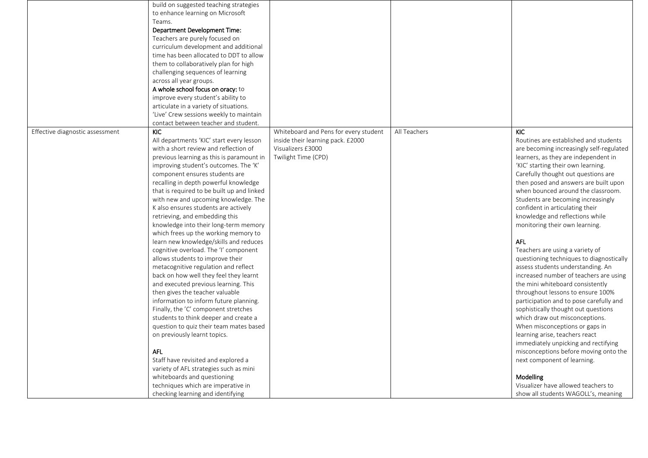|                                 | build on suggested teaching strategies     |                                       |              |                                          |
|---------------------------------|--------------------------------------------|---------------------------------------|--------------|------------------------------------------|
|                                 | to enhance learning on Microsoft           |                                       |              |                                          |
|                                 | Teams.                                     |                                       |              |                                          |
|                                 | Department Development Time:               |                                       |              |                                          |
|                                 | Teachers are purely focused on             |                                       |              |                                          |
|                                 | curriculum development and additional      |                                       |              |                                          |
|                                 | time has been allocated to DDT to allow    |                                       |              |                                          |
|                                 | them to collaboratively plan for high      |                                       |              |                                          |
|                                 | challenging sequences of learning          |                                       |              |                                          |
|                                 | across all year groups.                    |                                       |              |                                          |
|                                 | A whole school focus on oracy: to          |                                       |              |                                          |
|                                 | improve every student's ability to         |                                       |              |                                          |
|                                 | articulate in a variety of situations.     |                                       |              |                                          |
|                                 | 'Live' Crew sessions weekly to maintain    |                                       |              |                                          |
|                                 | contact between teacher and student.       |                                       |              |                                          |
| Effective diagnostic assessment | <b>KIC</b>                                 | Whiteboard and Pens for every student | All Teachers | <b>KIC</b>                               |
|                                 | All departments 'KIC' start every lesson   | inside their learning pack. £2000     |              | Routines are established and students    |
|                                 | with a short review and reflection of      | Visualizers £3000                     |              | are becoming increasingly self-regulated |
|                                 | previous learning as this is paramount in  | Twilight Time (CPD)                   |              | learners, as they are independent in     |
|                                 | improving student's outcomes. The 'K'      |                                       |              | 'KIC' starting their own learning.       |
|                                 | component ensures students are             |                                       |              | Carefully thought out questions are      |
|                                 | recalling in depth powerful knowledge      |                                       |              | then posed and answers are built upon    |
|                                 | that is required to be built up and linked |                                       |              | when bounced around the classroom.       |
|                                 | with new and upcoming knowledge. The       |                                       |              | Students are becoming increasingly       |
|                                 | K also ensures students are actively       |                                       |              | confident in articulating their          |
|                                 | retrieving, and embedding this             |                                       |              | knowledge and reflections while          |
|                                 | knowledge into their long-term memory      |                                       |              | monitoring their own learning.           |
|                                 | which frees up the working memory to       |                                       |              |                                          |
|                                 |                                            |                                       |              | <b>AFL</b>                               |
|                                 | learn new knowledge/skills and reduces     |                                       |              |                                          |
|                                 | cognitive overload. The 'I' component      |                                       |              | Teachers are using a variety of          |
|                                 | allows students to improve their           |                                       |              | questioning techniques to diagnostically |
|                                 | metacognitive regulation and reflect       |                                       |              | assess students understanding. An        |
|                                 | back on how well they feel they learnt     |                                       |              | increased number of teachers are using   |
|                                 | and executed previous learning. This       |                                       |              | the mini whiteboard consistently         |
|                                 | then gives the teacher valuable            |                                       |              | throughout lessons to ensure 100%        |
|                                 | information to inform future planning.     |                                       |              | participation and to pose carefully and  |
|                                 | Finally, the 'C' component stretches       |                                       |              | sophistically thought out questions      |
|                                 | students to think deeper and create a      |                                       |              | which draw out misconceptions.           |
|                                 | question to quiz their team mates based    |                                       |              | When misconceptions or gaps in           |
|                                 | on previously learnt topics.               |                                       |              | learning arise, teachers react           |
|                                 |                                            |                                       |              | immediately unpicking and rectifying     |
|                                 | <b>AFL</b>                                 |                                       |              | misconceptions before moving onto the    |
|                                 | Staff have revisited and explored a        |                                       |              | next component of learning.              |
|                                 | variety of AFL strategies such as mini     |                                       |              |                                          |
|                                 | whiteboards and questioning                |                                       |              | Modelling                                |
|                                 | techniques which are imperative in         |                                       |              | Visualizer have allowed teachers to      |
|                                 | checking learning and identifying          |                                       |              | show all students WAGOLL's, meaning      |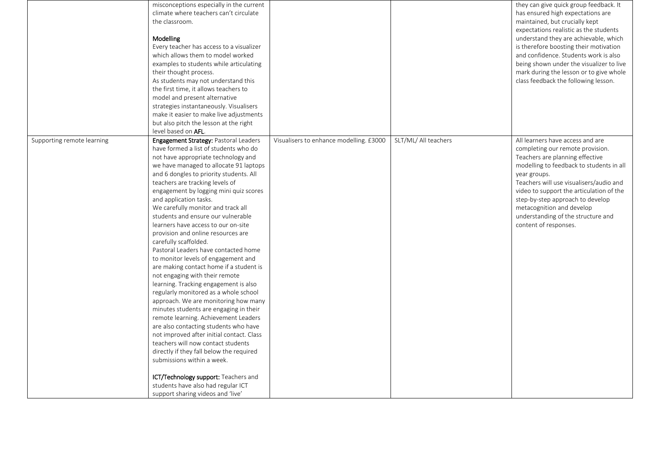|                            | misconceptions especially in the current<br>climate where teachers can't circulate<br>the classroom.<br>Modelling<br>Every teacher has access to a visualizer<br>which allows them to model worked<br>examples to students while articulating<br>their thought process.<br>As students may not understand this<br>the first time, it allows teachers to<br>model and present alternative<br>strategies instantaneously. Visualisers<br>make it easier to make live adjustments<br>but also pitch the lesson at the right<br>level based on AFL.                                                                                                                                                                                                                                                                                                                                                                                                                                                                                                                                                                                                                                                      |                                         |                      | they can give quick group feedback. It<br>has ensured high expectations are<br>maintained, but crucially kept<br>expectations realistic as the students<br>understand they are achievable, which<br>is therefore boosting their motivation<br>and confidence. Students work is also<br>being shown under the visualizer to live<br>mark during the lesson or to give whole<br>class feedback the following lesson. |
|----------------------------|------------------------------------------------------------------------------------------------------------------------------------------------------------------------------------------------------------------------------------------------------------------------------------------------------------------------------------------------------------------------------------------------------------------------------------------------------------------------------------------------------------------------------------------------------------------------------------------------------------------------------------------------------------------------------------------------------------------------------------------------------------------------------------------------------------------------------------------------------------------------------------------------------------------------------------------------------------------------------------------------------------------------------------------------------------------------------------------------------------------------------------------------------------------------------------------------------|-----------------------------------------|----------------------|--------------------------------------------------------------------------------------------------------------------------------------------------------------------------------------------------------------------------------------------------------------------------------------------------------------------------------------------------------------------------------------------------------------------|
| Supporting remote learning | Engagement Strategy: Pastoral Leaders<br>have formed a list of students who do<br>not have appropriate technology and<br>we have managed to allocate 91 laptops<br>and 6 dongles to priority students. All<br>teachers are tracking levels of<br>engagement by logging mini quiz scores<br>and application tasks.<br>We carefully monitor and track all<br>students and ensure our vulnerable<br>learners have access to our on-site<br>provision and online resources are<br>carefully scaffolded.<br>Pastoral Leaders have contacted home<br>to monitor levels of engagement and<br>are making contact home if a student is<br>not engaging with their remote<br>learning. Tracking engagement is also<br>regularly monitored as a whole school<br>approach. We are monitoring how many<br>minutes students are engaging in their<br>remote learning. Achievement Leaders<br>are also contacting students who have<br>not improved after initial contact. Class<br>teachers will now contact students<br>directly if they fall below the required<br>submissions within a week.<br>ICT/Technology support: Teachers and<br>students have also had regular ICT<br>support sharing videos and 'live' | Visualisers to enhance modelling. £3000 | SLT/ML/ All teachers | All learners have access and are<br>completing our remote provision.<br>Teachers are planning effective<br>modelling to feedback to students in all<br>year groups.<br>Teachers will use visualisers/audio and<br>video to support the articulation of the<br>step-by-step approach to develop<br>metacognition and develop<br>understanding of the structure and<br>content of responses.                         |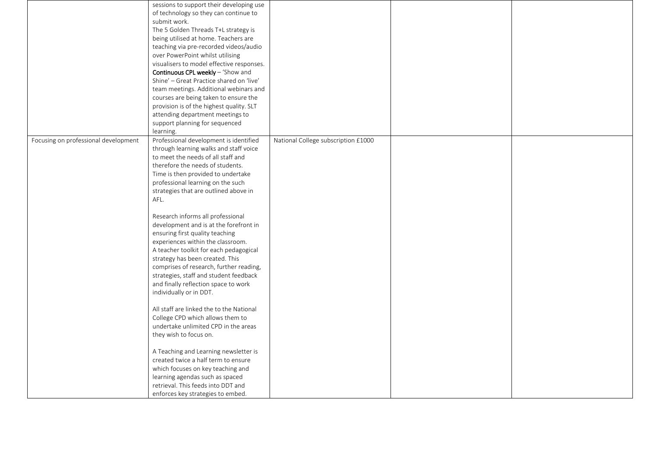|                                      | sessions to support their developing use  |                                     |  |
|--------------------------------------|-------------------------------------------|-------------------------------------|--|
|                                      | of technology so they can continue to     |                                     |  |
|                                      | submit work.                              |                                     |  |
|                                      | The 5 Golden Threads T+L strategy is      |                                     |  |
|                                      | being utilised at home. Teachers are      |                                     |  |
|                                      | teaching via pre-recorded videos/audio    |                                     |  |
|                                      | over PowerPoint whilst utilising          |                                     |  |
|                                      | visualisers to model effective responses. |                                     |  |
|                                      | <b>Continuous CPL weekly</b> – 'Show and  |                                     |  |
|                                      | Shine' - Great Practice shared on 'live'  |                                     |  |
|                                      | team meetings. Additional webinars and    |                                     |  |
|                                      | courses are being taken to ensure the     |                                     |  |
|                                      | provision is of the highest quality. SLT  |                                     |  |
|                                      | attending department meetings to          |                                     |  |
|                                      | support planning for sequenced            |                                     |  |
|                                      | learning.                                 |                                     |  |
| Focusing on professional development | Professional development is identified    | National College subscription £1000 |  |
|                                      | through learning walks and staff voice    |                                     |  |
|                                      | to meet the needs of all staff and        |                                     |  |
|                                      | therefore the needs of students.          |                                     |  |
|                                      | Time is then provided to undertake        |                                     |  |
|                                      | professional learning on the such         |                                     |  |
|                                      | strategies that are outlined above in     |                                     |  |
|                                      | AFL.                                      |                                     |  |
|                                      |                                           |                                     |  |
|                                      | Research informs all professional         |                                     |  |
|                                      | development and is at the forefront in    |                                     |  |
|                                      | ensuring first quality teaching           |                                     |  |
|                                      | experiences within the classroom.         |                                     |  |
|                                      | A teacher toolkit for each pedagogical    |                                     |  |
|                                      | strategy has been created. This           |                                     |  |
|                                      | comprises of research, further reading,   |                                     |  |
|                                      | strategies, staff and student feedback    |                                     |  |
|                                      | and finally reflection space to work      |                                     |  |
|                                      | individually or in DDT.                   |                                     |  |
|                                      |                                           |                                     |  |
|                                      | All staff are linked the to the National  |                                     |  |
|                                      | College CPD which allows them to          |                                     |  |
|                                      | undertake unlimited CPD in the areas      |                                     |  |
|                                      | they wish to focus on.                    |                                     |  |
|                                      |                                           |                                     |  |
|                                      | A Teaching and Learning newsletter is     |                                     |  |
|                                      | created twice a half term to ensure       |                                     |  |
|                                      | which focuses on key teaching and         |                                     |  |
|                                      | learning agendas such as spaced           |                                     |  |
|                                      | retrieval. This feeds into DDT and        |                                     |  |
|                                      | enforces key strategies to embed.         |                                     |  |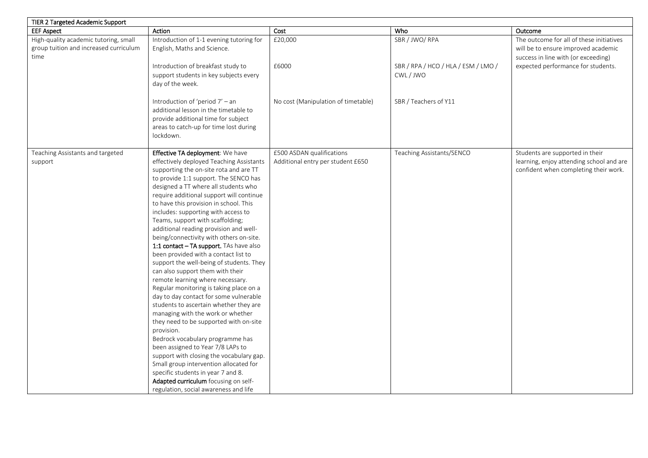| Cost<br>Who<br>Action<br>Outcome<br>SBR / JWO/ RPA<br>The outcome for all of these initiatives<br>Introduction of 1-1 evening tutoring for<br>£20,000<br>group tuition and increased curriculum<br>English, Maths and Science.<br>will be to ensure improved academic<br>time<br>success in line with (or exceeding)<br>Introduction of breakfast study to<br>£6000<br>SBR / RPA / HCO / HLA / ESM / LMO /<br>expected performance for students.<br>support students in key subjects every<br>CWL/JWO<br>day of the week.<br>Introduction of 'period 7' - an<br>SBR / Teachers of Y11<br>No cost (Manipulation of timetable)<br>additional lesson in the timetable to<br>provide additional time for subject<br>areas to catch-up for time lost during<br>lockdown.<br>Teaching Assistants and targeted<br>Effective TA deployment: We have<br>£500 ASDAN qualifications<br>Teaching Assistants/SENCO<br>Students are supported in their<br>learning, enjoy attending school and are<br>effectively deployed Teaching Assistants<br>Additional entry per student £650<br>support<br>supporting the on-site rota and are TT<br>confident when completing their work.<br>to provide 1:1 support. The SENCO has<br>designed a TT where all students who<br>require additional support will continue<br>to have this provision in school. This<br>includes: supporting with access to<br>Teams, support with scaffolding;<br>additional reading provision and well-<br>being/connectivity with others on-site.<br>1:1 contact - TA support. TAs have also<br>been provided with a contact list to<br>support the well-being of students. They<br>can also support them with their<br>remote learning where necessary.<br>Regular monitoring is taking place on a<br>day to day contact for some vulnerable<br>students to ascertain whether they are<br>managing with the work or whether<br>they need to be supported with on-site<br>provision.<br>Bedrock vocabulary programme has<br>been assigned to Year 7/8 LAPs to<br>support with closing the vocabulary gap.<br>Small group intervention allocated for<br>specific students in year 7 and 8. | TIER 2 Targeted Academic Support      |                                       |  |  |
|----------------------------------------------------------------------------------------------------------------------------------------------------------------------------------------------------------------------------------------------------------------------------------------------------------------------------------------------------------------------------------------------------------------------------------------------------------------------------------------------------------------------------------------------------------------------------------------------------------------------------------------------------------------------------------------------------------------------------------------------------------------------------------------------------------------------------------------------------------------------------------------------------------------------------------------------------------------------------------------------------------------------------------------------------------------------------------------------------------------------------------------------------------------------------------------------------------------------------------------------------------------------------------------------------------------------------------------------------------------------------------------------------------------------------------------------------------------------------------------------------------------------------------------------------------------------------------------------------------------------------------------------------------------------------------------------------------------------------------------------------------------------------------------------------------------------------------------------------------------------------------------------------------------------------------------------------------------------------------------------------------------------------------------------------------------------------------------------------------------------------------------------------|---------------------------------------|---------------------------------------|--|--|
|                                                                                                                                                                                                                                                                                                                                                                                                                                                                                                                                                                                                                                                                                                                                                                                                                                                                                                                                                                                                                                                                                                                                                                                                                                                                                                                                                                                                                                                                                                                                                                                                                                                                                                                                                                                                                                                                                                                                                                                                                                                                                                                                                    | <b>EEF Aspect</b>                     |                                       |  |  |
|                                                                                                                                                                                                                                                                                                                                                                                                                                                                                                                                                                                                                                                                                                                                                                                                                                                                                                                                                                                                                                                                                                                                                                                                                                                                                                                                                                                                                                                                                                                                                                                                                                                                                                                                                                                                                                                                                                                                                                                                                                                                                                                                                    | High-quality academic tutoring, small |                                       |  |  |
|                                                                                                                                                                                                                                                                                                                                                                                                                                                                                                                                                                                                                                                                                                                                                                                                                                                                                                                                                                                                                                                                                                                                                                                                                                                                                                                                                                                                                                                                                                                                                                                                                                                                                                                                                                                                                                                                                                                                                                                                                                                                                                                                                    |                                       |                                       |  |  |
|                                                                                                                                                                                                                                                                                                                                                                                                                                                                                                                                                                                                                                                                                                                                                                                                                                                                                                                                                                                                                                                                                                                                                                                                                                                                                                                                                                                                                                                                                                                                                                                                                                                                                                                                                                                                                                                                                                                                                                                                                                                                                                                                                    |                                       |                                       |  |  |
|                                                                                                                                                                                                                                                                                                                                                                                                                                                                                                                                                                                                                                                                                                                                                                                                                                                                                                                                                                                                                                                                                                                                                                                                                                                                                                                                                                                                                                                                                                                                                                                                                                                                                                                                                                                                                                                                                                                                                                                                                                                                                                                                                    |                                       |                                       |  |  |
|                                                                                                                                                                                                                                                                                                                                                                                                                                                                                                                                                                                                                                                                                                                                                                                                                                                                                                                                                                                                                                                                                                                                                                                                                                                                                                                                                                                                                                                                                                                                                                                                                                                                                                                                                                                                                                                                                                                                                                                                                                                                                                                                                    |                                       |                                       |  |  |
|                                                                                                                                                                                                                                                                                                                                                                                                                                                                                                                                                                                                                                                                                                                                                                                                                                                                                                                                                                                                                                                                                                                                                                                                                                                                                                                                                                                                                                                                                                                                                                                                                                                                                                                                                                                                                                                                                                                                                                                                                                                                                                                                                    |                                       |                                       |  |  |
|                                                                                                                                                                                                                                                                                                                                                                                                                                                                                                                                                                                                                                                                                                                                                                                                                                                                                                                                                                                                                                                                                                                                                                                                                                                                                                                                                                                                                                                                                                                                                                                                                                                                                                                                                                                                                                                                                                                                                                                                                                                                                                                                                    |                                       |                                       |  |  |
|                                                                                                                                                                                                                                                                                                                                                                                                                                                                                                                                                                                                                                                                                                                                                                                                                                                                                                                                                                                                                                                                                                                                                                                                                                                                                                                                                                                                                                                                                                                                                                                                                                                                                                                                                                                                                                                                                                                                                                                                                                                                                                                                                    |                                       |                                       |  |  |
|                                                                                                                                                                                                                                                                                                                                                                                                                                                                                                                                                                                                                                                                                                                                                                                                                                                                                                                                                                                                                                                                                                                                                                                                                                                                                                                                                                                                                                                                                                                                                                                                                                                                                                                                                                                                                                                                                                                                                                                                                                                                                                                                                    |                                       |                                       |  |  |
|                                                                                                                                                                                                                                                                                                                                                                                                                                                                                                                                                                                                                                                                                                                                                                                                                                                                                                                                                                                                                                                                                                                                                                                                                                                                                                                                                                                                                                                                                                                                                                                                                                                                                                                                                                                                                                                                                                                                                                                                                                                                                                                                                    |                                       |                                       |  |  |
|                                                                                                                                                                                                                                                                                                                                                                                                                                                                                                                                                                                                                                                                                                                                                                                                                                                                                                                                                                                                                                                                                                                                                                                                                                                                                                                                                                                                                                                                                                                                                                                                                                                                                                                                                                                                                                                                                                                                                                                                                                                                                                                                                    |                                       |                                       |  |  |
|                                                                                                                                                                                                                                                                                                                                                                                                                                                                                                                                                                                                                                                                                                                                                                                                                                                                                                                                                                                                                                                                                                                                                                                                                                                                                                                                                                                                                                                                                                                                                                                                                                                                                                                                                                                                                                                                                                                                                                                                                                                                                                                                                    |                                       |                                       |  |  |
|                                                                                                                                                                                                                                                                                                                                                                                                                                                                                                                                                                                                                                                                                                                                                                                                                                                                                                                                                                                                                                                                                                                                                                                                                                                                                                                                                                                                                                                                                                                                                                                                                                                                                                                                                                                                                                                                                                                                                                                                                                                                                                                                                    |                                       |                                       |  |  |
|                                                                                                                                                                                                                                                                                                                                                                                                                                                                                                                                                                                                                                                                                                                                                                                                                                                                                                                                                                                                                                                                                                                                                                                                                                                                                                                                                                                                                                                                                                                                                                                                                                                                                                                                                                                                                                                                                                                                                                                                                                                                                                                                                    |                                       |                                       |  |  |
|                                                                                                                                                                                                                                                                                                                                                                                                                                                                                                                                                                                                                                                                                                                                                                                                                                                                                                                                                                                                                                                                                                                                                                                                                                                                                                                                                                                                                                                                                                                                                                                                                                                                                                                                                                                                                                                                                                                                                                                                                                                                                                                                                    |                                       |                                       |  |  |
|                                                                                                                                                                                                                                                                                                                                                                                                                                                                                                                                                                                                                                                                                                                                                                                                                                                                                                                                                                                                                                                                                                                                                                                                                                                                                                                                                                                                                                                                                                                                                                                                                                                                                                                                                                                                                                                                                                                                                                                                                                                                                                                                                    |                                       |                                       |  |  |
|                                                                                                                                                                                                                                                                                                                                                                                                                                                                                                                                                                                                                                                                                                                                                                                                                                                                                                                                                                                                                                                                                                                                                                                                                                                                                                                                                                                                                                                                                                                                                                                                                                                                                                                                                                                                                                                                                                                                                                                                                                                                                                                                                    |                                       |                                       |  |  |
|                                                                                                                                                                                                                                                                                                                                                                                                                                                                                                                                                                                                                                                                                                                                                                                                                                                                                                                                                                                                                                                                                                                                                                                                                                                                                                                                                                                                                                                                                                                                                                                                                                                                                                                                                                                                                                                                                                                                                                                                                                                                                                                                                    |                                       |                                       |  |  |
|                                                                                                                                                                                                                                                                                                                                                                                                                                                                                                                                                                                                                                                                                                                                                                                                                                                                                                                                                                                                                                                                                                                                                                                                                                                                                                                                                                                                                                                                                                                                                                                                                                                                                                                                                                                                                                                                                                                                                                                                                                                                                                                                                    |                                       |                                       |  |  |
|                                                                                                                                                                                                                                                                                                                                                                                                                                                                                                                                                                                                                                                                                                                                                                                                                                                                                                                                                                                                                                                                                                                                                                                                                                                                                                                                                                                                                                                                                                                                                                                                                                                                                                                                                                                                                                                                                                                                                                                                                                                                                                                                                    |                                       |                                       |  |  |
|                                                                                                                                                                                                                                                                                                                                                                                                                                                                                                                                                                                                                                                                                                                                                                                                                                                                                                                                                                                                                                                                                                                                                                                                                                                                                                                                                                                                                                                                                                                                                                                                                                                                                                                                                                                                                                                                                                                                                                                                                                                                                                                                                    |                                       |                                       |  |  |
|                                                                                                                                                                                                                                                                                                                                                                                                                                                                                                                                                                                                                                                                                                                                                                                                                                                                                                                                                                                                                                                                                                                                                                                                                                                                                                                                                                                                                                                                                                                                                                                                                                                                                                                                                                                                                                                                                                                                                                                                                                                                                                                                                    |                                       |                                       |  |  |
|                                                                                                                                                                                                                                                                                                                                                                                                                                                                                                                                                                                                                                                                                                                                                                                                                                                                                                                                                                                                                                                                                                                                                                                                                                                                                                                                                                                                                                                                                                                                                                                                                                                                                                                                                                                                                                                                                                                                                                                                                                                                                                                                                    |                                       |                                       |  |  |
|                                                                                                                                                                                                                                                                                                                                                                                                                                                                                                                                                                                                                                                                                                                                                                                                                                                                                                                                                                                                                                                                                                                                                                                                                                                                                                                                                                                                                                                                                                                                                                                                                                                                                                                                                                                                                                                                                                                                                                                                                                                                                                                                                    |                                       |                                       |  |  |
|                                                                                                                                                                                                                                                                                                                                                                                                                                                                                                                                                                                                                                                                                                                                                                                                                                                                                                                                                                                                                                                                                                                                                                                                                                                                                                                                                                                                                                                                                                                                                                                                                                                                                                                                                                                                                                                                                                                                                                                                                                                                                                                                                    |                                       |                                       |  |  |
|                                                                                                                                                                                                                                                                                                                                                                                                                                                                                                                                                                                                                                                                                                                                                                                                                                                                                                                                                                                                                                                                                                                                                                                                                                                                                                                                                                                                                                                                                                                                                                                                                                                                                                                                                                                                                                                                                                                                                                                                                                                                                                                                                    |                                       |                                       |  |  |
|                                                                                                                                                                                                                                                                                                                                                                                                                                                                                                                                                                                                                                                                                                                                                                                                                                                                                                                                                                                                                                                                                                                                                                                                                                                                                                                                                                                                                                                                                                                                                                                                                                                                                                                                                                                                                                                                                                                                                                                                                                                                                                                                                    |                                       |                                       |  |  |
|                                                                                                                                                                                                                                                                                                                                                                                                                                                                                                                                                                                                                                                                                                                                                                                                                                                                                                                                                                                                                                                                                                                                                                                                                                                                                                                                                                                                                                                                                                                                                                                                                                                                                                                                                                                                                                                                                                                                                                                                                                                                                                                                                    |                                       |                                       |  |  |
|                                                                                                                                                                                                                                                                                                                                                                                                                                                                                                                                                                                                                                                                                                                                                                                                                                                                                                                                                                                                                                                                                                                                                                                                                                                                                                                                                                                                                                                                                                                                                                                                                                                                                                                                                                                                                                                                                                                                                                                                                                                                                                                                                    |                                       |                                       |  |  |
|                                                                                                                                                                                                                                                                                                                                                                                                                                                                                                                                                                                                                                                                                                                                                                                                                                                                                                                                                                                                                                                                                                                                                                                                                                                                                                                                                                                                                                                                                                                                                                                                                                                                                                                                                                                                                                                                                                                                                                                                                                                                                                                                                    |                                       |                                       |  |  |
|                                                                                                                                                                                                                                                                                                                                                                                                                                                                                                                                                                                                                                                                                                                                                                                                                                                                                                                                                                                                                                                                                                                                                                                                                                                                                                                                                                                                                                                                                                                                                                                                                                                                                                                                                                                                                                                                                                                                                                                                                                                                                                                                                    |                                       |                                       |  |  |
|                                                                                                                                                                                                                                                                                                                                                                                                                                                                                                                                                                                                                                                                                                                                                                                                                                                                                                                                                                                                                                                                                                                                                                                                                                                                                                                                                                                                                                                                                                                                                                                                                                                                                                                                                                                                                                                                                                                                                                                                                                                                                                                                                    |                                       |                                       |  |  |
|                                                                                                                                                                                                                                                                                                                                                                                                                                                                                                                                                                                                                                                                                                                                                                                                                                                                                                                                                                                                                                                                                                                                                                                                                                                                                                                                                                                                                                                                                                                                                                                                                                                                                                                                                                                                                                                                                                                                                                                                                                                                                                                                                    |                                       |                                       |  |  |
|                                                                                                                                                                                                                                                                                                                                                                                                                                                                                                                                                                                                                                                                                                                                                                                                                                                                                                                                                                                                                                                                                                                                                                                                                                                                                                                                                                                                                                                                                                                                                                                                                                                                                                                                                                                                                                                                                                                                                                                                                                                                                                                                                    |                                       |                                       |  |  |
|                                                                                                                                                                                                                                                                                                                                                                                                                                                                                                                                                                                                                                                                                                                                                                                                                                                                                                                                                                                                                                                                                                                                                                                                                                                                                                                                                                                                                                                                                                                                                                                                                                                                                                                                                                                                                                                                                                                                                                                                                                                                                                                                                    |                                       |                                       |  |  |
|                                                                                                                                                                                                                                                                                                                                                                                                                                                                                                                                                                                                                                                                                                                                                                                                                                                                                                                                                                                                                                                                                                                                                                                                                                                                                                                                                                                                                                                                                                                                                                                                                                                                                                                                                                                                                                                                                                                                                                                                                                                                                                                                                    |                                       |                                       |  |  |
|                                                                                                                                                                                                                                                                                                                                                                                                                                                                                                                                                                                                                                                                                                                                                                                                                                                                                                                                                                                                                                                                                                                                                                                                                                                                                                                                                                                                                                                                                                                                                                                                                                                                                                                                                                                                                                                                                                                                                                                                                                                                                                                                                    |                                       |                                       |  |  |
| Adapted curriculum focusing on self-                                                                                                                                                                                                                                                                                                                                                                                                                                                                                                                                                                                                                                                                                                                                                                                                                                                                                                                                                                                                                                                                                                                                                                                                                                                                                                                                                                                                                                                                                                                                                                                                                                                                                                                                                                                                                                                                                                                                                                                                                                                                                                               |                                       |                                       |  |  |
|                                                                                                                                                                                                                                                                                                                                                                                                                                                                                                                                                                                                                                                                                                                                                                                                                                                                                                                                                                                                                                                                                                                                                                                                                                                                                                                                                                                                                                                                                                                                                                                                                                                                                                                                                                                                                                                                                                                                                                                                                                                                                                                                                    |                                       | regulation, social awareness and life |  |  |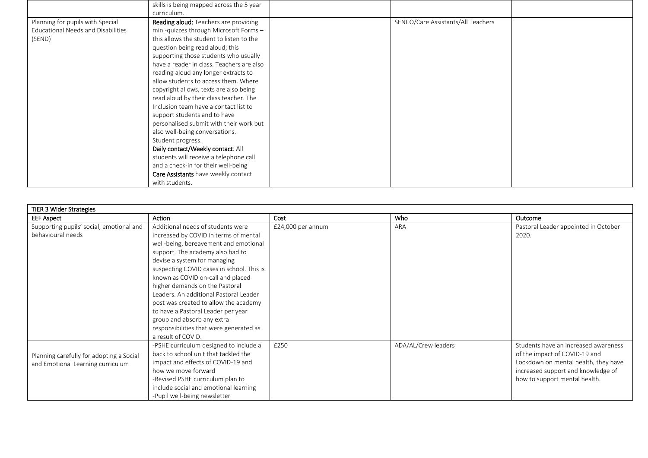|                                           | skills is being mapped across the 5 year  |                                    |  |
|-------------------------------------------|-------------------------------------------|------------------------------------|--|
|                                           | curriculum.                               |                                    |  |
| Planning for pupils with Special          | Reading aloud: Teachers are providing     | SENCO/Care Assistants/All Teachers |  |
| <b>Educational Needs and Disabilities</b> | mini-quizzes through Microsoft Forms -    |                                    |  |
| (SEND)                                    | this allows the student to listen to the  |                                    |  |
|                                           | question being read aloud; this           |                                    |  |
|                                           | supporting those students who usually     |                                    |  |
|                                           | have a reader in class. Teachers are also |                                    |  |
|                                           | reading aloud any longer extracts to      |                                    |  |
|                                           | allow students to access them. Where      |                                    |  |
|                                           | copyright allows, texts are also being    |                                    |  |
|                                           | read aloud by their class teacher. The    |                                    |  |
|                                           | Inclusion team have a contact list to     |                                    |  |
|                                           | support students and to have              |                                    |  |
|                                           | personalised submit with their work but   |                                    |  |
|                                           | also well-being conversations.            |                                    |  |
|                                           | Student progress.                         |                                    |  |
|                                           | Daily contact/Weekly contact: All         |                                    |  |
|                                           | students will receive a telephone call    |                                    |  |
|                                           | and a check-in for their well-being       |                                    |  |
|                                           | Care Assistants have weekly contact       |                                    |  |
|                                           | with students.                            |                                    |  |

| TIER 3 Wider Strategies                  |                                           |                   |                     |                                      |
|------------------------------------------|-------------------------------------------|-------------------|---------------------|--------------------------------------|
| <b>EEF Aspect</b>                        | Action                                    | Cost              | Who                 | Outcome                              |
| Supporting pupils' social, emotional and | Additional needs of students were         | £24,000 per annum | ARA                 | Pastoral Leader appointed in October |
| behavioural needs                        | increased by COVID in terms of mental     |                   |                     | 2020.                                |
|                                          | well-being, bereavement and emotional     |                   |                     |                                      |
|                                          | support. The academy also had to          |                   |                     |                                      |
|                                          | devise a system for managing              |                   |                     |                                      |
|                                          | suspecting COVID cases in school. This is |                   |                     |                                      |
|                                          | known as COVID on-call and placed         |                   |                     |                                      |
|                                          | higher demands on the Pastoral            |                   |                     |                                      |
|                                          | Leaders. An additional Pastoral Leader    |                   |                     |                                      |
|                                          | post was created to allow the academy     |                   |                     |                                      |
|                                          | to have a Pastoral Leader per year        |                   |                     |                                      |
|                                          | group and absorb any extra                |                   |                     |                                      |
|                                          | responsibilities that were generated as   |                   |                     |                                      |
|                                          | a result of COVID.                        |                   |                     |                                      |
|                                          | -PSHE curriculum designed to include a    | £250              | ADA/AL/Crew leaders | Students have an increased awareness |
| Planning carefully for adopting a Social | back to school unit that tackled the      |                   |                     | of the impact of COVID-19 and        |
| and Emotional Learning curriculum        | impact and effects of COVID-19 and        |                   |                     | Lockdown on mental health, they have |
|                                          | how we move forward                       |                   |                     | increased support and knowledge of   |
|                                          | -Revised PSHE curriculum plan to          |                   |                     | how to support mental health.        |
|                                          | include social and emotional learning     |                   |                     |                                      |
|                                          | -Pupil well-being newsletter              |                   |                     |                                      |